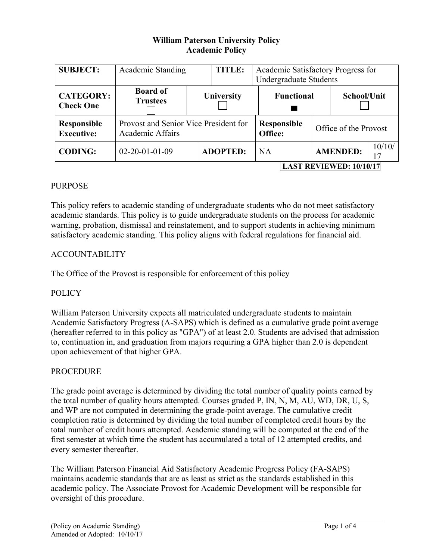# **William Paterson University Policy Academic Policy**

| <b>SUBJECT:</b>                         | Academic Standing                                         |            | <b>TITLE:</b>   | Academic Satisfactory Progress for<br>Undergraduate Students |                               |  |                       |              |  |
|-----------------------------------------|-----------------------------------------------------------|------------|-----------------|--------------------------------------------------------------|-------------------------------|--|-----------------------|--------------|--|
| <b>CATEGORY:</b><br><b>Check One</b>    | <b>Board of</b><br><b>Trustees</b>                        | University |                 |                                                              | <b>Functional</b>             |  |                       | School/Unit  |  |
| <b>Responsible</b><br><b>Executive:</b> | Provost and Senior Vice President for<br>Academic Affairs |            |                 |                                                              | <b>Responsible</b><br>Office: |  | Office of the Provost |              |  |
| <b>CODING:</b>                          | $02 - 20 - 01 - 01 - 09$                                  |            | <b>ADOPTED:</b> | <b>NA</b>                                                    |                               |  | <b>AMENDED:</b>       | 10/10/<br>17 |  |
|                                         | <b>LAST REVIEWED: 10/10/17</b>                            |            |                 |                                                              |                               |  |                       |              |  |

### PURPOSE

This policy refers to academic standing of undergraduate students who do not meet satisfactory academic standards. This policy is to guide undergraduate students on the process for academic warning, probation, dismissal and reinstatement, and to support students in achieving minimum satisfactory academic standing. This policy aligns with federal regulations for financial aid.

### ACCOUNTABILITY

The Office of the Provost is responsible for enforcement of this policy

#### **POLICY**

William Paterson University expects all matriculated undergraduate students to maintain Academic Satisfactory Progress (A-SAPS) which is defined as a cumulative grade point average (hereafter referred to in this policy as "GPA") of at least 2.0. Students are advised that admission to, continuation in, and graduation from majors requiring a GPA higher than 2.0 is dependent upon achievement of that higher GPA.

#### **PROCEDURE**

The grade point average is determined by dividing the total number of quality points earned by the total number of quality hours attempted. Courses graded P, IN, N, M, AU, WD, DR, U, S, and WP are not computed in determining the grade-point average. The cumulative credit completion ratio is determined by dividing the total number of completed credit hours by the total number of credit hours attempted. Academic standing will be computed at the end of the first semester at which time the student has accumulated a total of 12 attempted credits, and every semester thereafter.

The William Paterson Financial Aid Satisfactory Academic Progress Policy (FA-SAPS) maintains academic standards that are as least as strict as the standards established in this academic policy. The Associate Provost for Academic Development will be responsible for oversight of this procedure.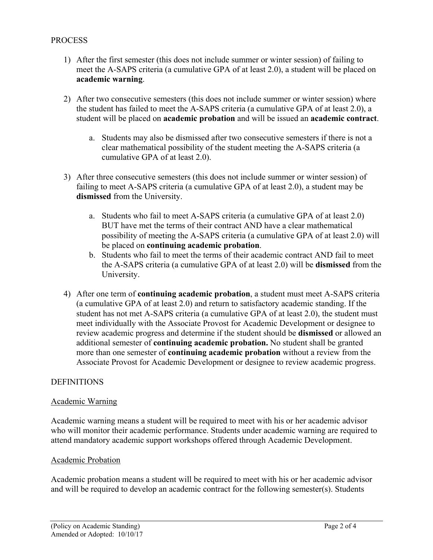#### **PROCESS**

- 1) After the first semester (this does not include summer or winter session) of failing to meet the A-SAPS criteria (a cumulative GPA of at least 2.0), a student will be placed on **academic warning**.
- 2) After two consecutive semesters (this does not include summer or winter session) where the student has failed to meet the A-SAPS criteria (a cumulative GPA of at least 2.0), a student will be placed on **academic probation** and will be issued an **academic contract**.
	- a. Students may also be dismissed after two consecutive semesters if there is not a clear mathematical possibility of the student meeting the A-SAPS criteria (a cumulative GPA of at least 2.0).
- 3) After three consecutive semesters (this does not include summer or winter session) of failing to meet A-SAPS criteria (a cumulative GPA of at least 2.0), a student may be **dismissed** from the University.
	- a. Students who fail to meet A-SAPS criteria (a cumulative GPA of at least 2.0) BUT have met the terms of their contract AND have a clear mathematical possibility of meeting the A-SAPS criteria (a cumulative GPA of at least 2.0) will be placed on **continuing academic probation**.
	- b. Students who fail to meet the terms of their academic contract AND fail to meet the A-SAPS criteria (a cumulative GPA of at least 2.0) will be **dismissed** from the University.
- 4) After one term of **continuing academic probation**, a student must meet A-SAPS criteria (a cumulative GPA of at least 2.0) and return to satisfactory academic standing. If the student has not met A-SAPS criteria (a cumulative GPA of at least 2.0), the student must meet individually with the Associate Provost for Academic Development or designee to review academic progress and determine if the student should be **dismissed** or allowed an additional semester of **continuing academic probation.** No student shall be granted more than one semester of **continuing academic probation** without a review from the Associate Provost for Academic Development or designee to review academic progress.

## **DEFINITIONS**

#### Academic Warning

Academic warning means a student will be required to meet with his or her academic advisor who will monitor their academic performance. Students under academic warning are required to attend mandatory academic support workshops offered through Academic Development.

#### Academic Probation

Academic probation means a student will be required to meet with his or her academic advisor and will be required to develop an academic contract for the following semester(s). Students